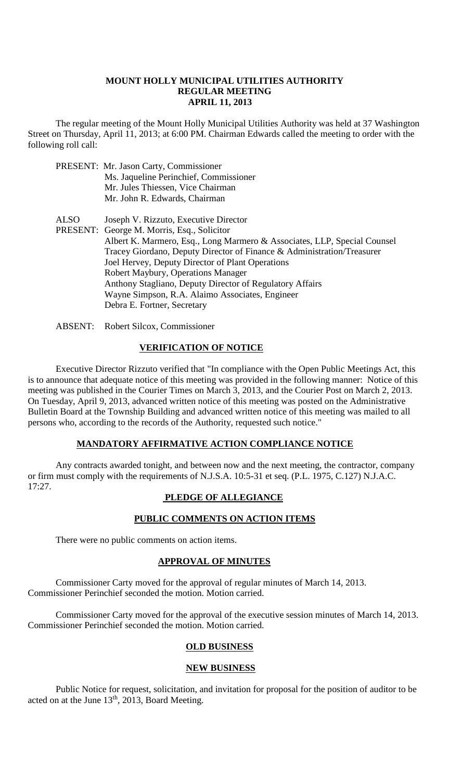#### **MOUNT HOLLY MUNICIPAL UTILITIES AUTHORITY REGULAR MEETING APRIL 11, 2013**

The regular meeting of the Mount Holly Municipal Utilities Authority was held at 37 Washington Street on Thursday, April 11, 2013; at 6:00 PM. Chairman Edwards called the meeting to order with the following roll call:

- PRESENT: Mr. Jason Carty, Commissioner Ms. Jaqueline Perinchief, Commissioner Mr. Jules Thiessen, Vice Chairman Mr. John R. Edwards, Chairman
- ALSO Joseph V. Rizzuto, Executive Director PRESENT: George M. Morris, Esq., Solicitor Albert K. Marmero, Esq., Long Marmero & Associates, LLP, Special Counsel Tracey Giordano, Deputy Director of Finance & Administration/Treasurer Joel Hervey, Deputy Director of Plant Operations Robert Maybury, Operations Manager Anthony Stagliano, Deputy Director of Regulatory Affairs Wayne Simpson, R.A. Alaimo Associates, Engineer Debra E. Fortner, Secretary
- ABSENT: Robert Silcox, Commissioner

### **VERIFICATION OF NOTICE**

Executive Director Rizzuto verified that "In compliance with the Open Public Meetings Act, this is to announce that adequate notice of this meeting was provided in the following manner: Notice of this meeting was published in the Courier Times on March 3, 2013, and the Courier Post on March 2, 2013. On Tuesday, April 9, 2013, advanced written notice of this meeting was posted on the Administrative Bulletin Board at the Township Building and advanced written notice of this meeting was mailed to all persons who, according to the records of the Authority, requested such notice."

#### **MANDATORY AFFIRMATIVE ACTION COMPLIANCE NOTICE**

Any contracts awarded tonight, and between now and the next meeting, the contractor, company or firm must comply with the requirements of N.J.S.A. 10:5-31 et seq. (P.L. 1975, C.127) N.J.A.C. 17:27.

# **PLEDGE OF ALLEGIANCE**

# **PUBLIC COMMENTS ON ACTION ITEMS**

There were no public comments on action items.

#### **APPROVAL OF MINUTES**

Commissioner Carty moved for the approval of regular minutes of March 14, 2013. Commissioner Perinchief seconded the motion. Motion carried.

Commissioner Carty moved for the approval of the executive session minutes of March 14, 2013. Commissioner Perinchief seconded the motion. Motion carried.

#### **OLD BUSINESS**

#### **NEW BUSINESS**

Public Notice for request, solicitation, and invitation for proposal for the position of auditor to be acted on at the June 13<sup>th</sup>, 2013, Board Meeting.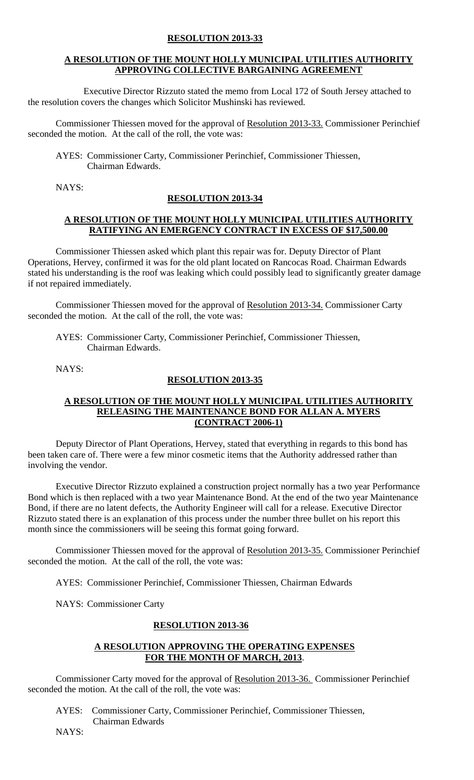# **RESOLUTION 2013-33**

## **A RESOLUTION OF THE MOUNT HOLLY MUNICIPAL UTILITIES AUTHORITY APPROVING COLLECTIVE BARGAINING AGREEMENT**

Executive Director Rizzuto stated the memo from Local 172 of South Jersey attached to the resolution covers the changes which Solicitor Mushinski has reviewed.

Commissioner Thiessen moved for the approval of Resolution 2013-33. Commissioner Perinchief seconded the motion. At the call of the roll, the vote was:

AYES: Commissioner Carty, Commissioner Perinchief, Commissioner Thiessen, Chairman Edwards.

NAYS:

### **RESOLUTION 2013-34**

### **A RESOLUTION OF THE MOUNT HOLLY MUNICIPAL UTILITIES AUTHORITY RATIFYING AN EMERGENCY CONTRACT IN EXCESS OF \$17,500.00**

Commissioner Thiessen asked which plant this repair was for. Deputy Director of Plant Operations, Hervey, confirmed it was for the old plant located on Rancocas Road. Chairman Edwards stated his understanding is the roof was leaking which could possibly lead to significantly greater damage if not repaired immediately.

Commissioner Thiessen moved for the approval of Resolution 2013-34. Commissioner Carty seconded the motion. At the call of the roll, the vote was:

AYES: Commissioner Carty, Commissioner Perinchief, Commissioner Thiessen, Chairman Edwards.

NAYS:

## **RESOLUTION 2013-35**

### **A RESOLUTION OF THE MOUNT HOLLY MUNICIPAL UTILITIES AUTHORITY RELEASING THE MAINTENANCE BOND FOR ALLAN A. MYERS (CONTRACT 2006-1)**

Deputy Director of Plant Operations, Hervey, stated that everything in regards to this bond has been taken care of. There were a few minor cosmetic items that the Authority addressed rather than involving the vendor.

Executive Director Rizzuto explained a construction project normally has a two year Performance Bond which is then replaced with a two year Maintenance Bond. At the end of the two year Maintenance Bond, if there are no latent defects, the Authority Engineer will call for a release. Executive Director Rizzuto stated there is an explanation of this process under the number three bullet on his report this month since the commissioners will be seeing this format going forward.

Commissioner Thiessen moved for the approval of Resolution 2013-35. Commissioner Perinchief seconded the motion. At the call of the roll, the vote was:

AYES: Commissioner Perinchief, Commissioner Thiessen, Chairman Edwards

NAYS: Commissioner Carty

### **RESOLUTION 2013-36**

#### **A RESOLUTION APPROVING THE OPERATING EXPENSES FOR THE MONTH OF MARCH, 2013**.

Commissioner Carty moved for the approval of Resolution 2013-36. Commissioner Perinchief seconded the motion. At the call of the roll, the vote was:

 AYES: Commissioner Carty, Commissioner Perinchief, Commissioner Thiessen, Chairman Edwards

NAYS: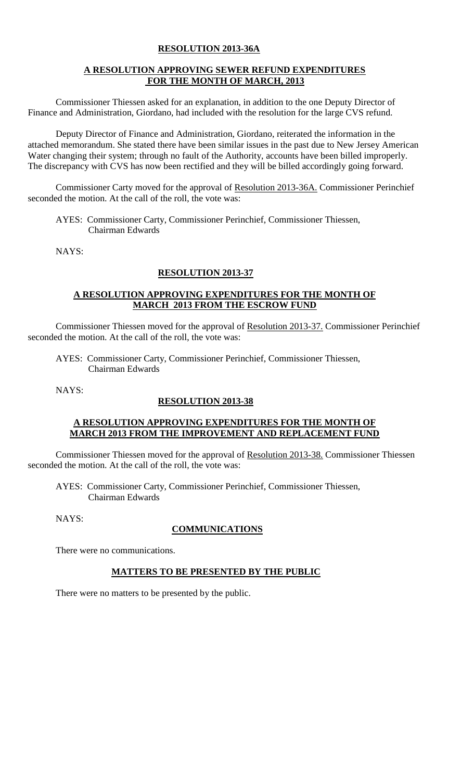## **RESOLUTION 2013-36A**

# **A RESOLUTION APPROVING SEWER REFUND EXPENDITURES FOR THE MONTH OF MARCH, 2013**

Commissioner Thiessen asked for an explanation, in addition to the one Deputy Director of Finance and Administration, Giordano, had included with the resolution for the large CVS refund.

Deputy Director of Finance and Administration, Giordano, reiterated the information in the attached memorandum. She stated there have been similar issues in the past due to New Jersey American Water changing their system; through no fault of the Authority, accounts have been billed improperly. The discrepancy with CVS has now been rectified and they will be billed accordingly going forward.

Commissioner Carty moved for the approval of Resolution 2013-36A. Commissioner Perinchief seconded the motion. At the call of the roll, the vote was:

AYES: Commissioner Carty, Commissioner Perinchief, Commissioner Thiessen, Chairman Edwards

NAYS:

# **RESOLUTION 2013-37**

### **A RESOLUTION APPROVING EXPENDITURES FOR THE MONTH OF MARCH 2013 FROM THE ESCROW FUND**

Commissioner Thiessen moved for the approval of Resolution 2013-37. Commissioner Perinchief seconded the motion. At the call of the roll, the vote was:

AYES: Commissioner Carty, Commissioner Perinchief, Commissioner Thiessen, Chairman Edwards

NAYS:

### **RESOLUTION 2013-38**

### **A RESOLUTION APPROVING EXPENDITURES FOR THE MONTH OF MARCH 2013 FROM THE IMPROVEMENT AND REPLACEMENT FUND**

Commissioner Thiessen moved for the approval of Resolution 2013-38. Commissioner Thiessen seconded the motion. At the call of the roll, the vote was:

AYES: Commissioner Carty, Commissioner Perinchief, Commissioner Thiessen, Chairman Edwards

NAYS:

### **COMMUNICATIONS**

There were no communications.

### **MATTERS TO BE PRESENTED BY THE PUBLIC**

There were no matters to be presented by the public.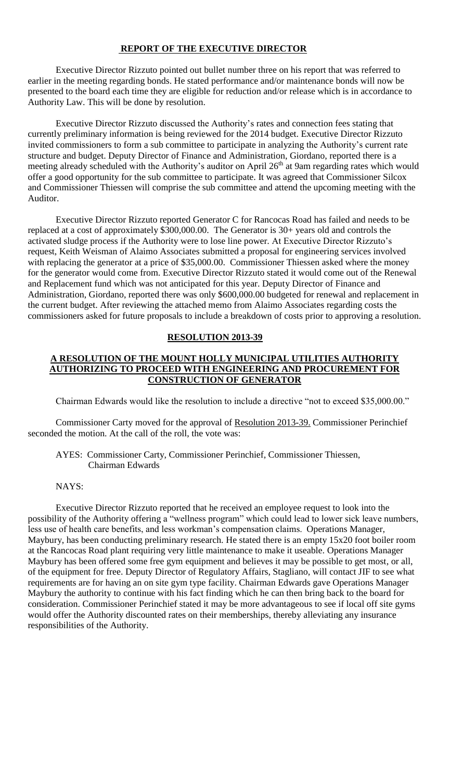#### **REPORT OF THE EXECUTIVE DIRECTOR**

Executive Director Rizzuto pointed out bullet number three on his report that was referred to earlier in the meeting regarding bonds. He stated performance and/or maintenance bonds will now be presented to the board each time they are eligible for reduction and/or release which is in accordance to Authority Law. This will be done by resolution.

Executive Director Rizzuto discussed the Authority's rates and connection fees stating that currently preliminary information is being reviewed for the 2014 budget. Executive Director Rizzuto invited commissioners to form a sub committee to participate in analyzing the Authority's current rate structure and budget. Deputy Director of Finance and Administration, Giordano, reported there is a meeting already scheduled with the Authority's auditor on April 26<sup>th</sup> at 9am regarding rates which would offer a good opportunity for the sub committee to participate. It was agreed that Commissioner Silcox and Commissioner Thiessen will comprise the sub committee and attend the upcoming meeting with the Auditor.

Executive Director Rizzuto reported Generator C for Rancocas Road has failed and needs to be replaced at a cost of approximately \$300,000.00. The Generator is 30+ years old and controls the activated sludge process if the Authority were to lose line power. At Executive Director Rizzuto's request, Keith Weisman of Alaimo Associates submitted a proposal for engineering services involved with replacing the generator at a price of \$35,000.00. Commissioner Thiessen asked where the money for the generator would come from. Executive Director Rizzuto stated it would come out of the Renewal and Replacement fund which was not anticipated for this year. Deputy Director of Finance and Administration, Giordano, reported there was only \$600,000.00 budgeted for renewal and replacement in the current budget. After reviewing the attached memo from Alaimo Associates regarding costs the commissioners asked for future proposals to include a breakdown of costs prior to approving a resolution.

#### **RESOLUTION 2013-39**

#### **A RESOLUTION OF THE MOUNT HOLLY MUNICIPAL UTILITIES AUTHORITY AUTHORIZING TO PROCEED WITH ENGINEERING AND PROCUREMENT FOR CONSTRUCTION OF GENERATOR**

Chairman Edwards would like the resolution to include a directive "not to exceed \$35,000.00."

Commissioner Carty moved for the approval of Resolution 2013-39. Commissioner Perinchief seconded the motion. At the call of the roll, the vote was:

AYES: Commissioner Carty, Commissioner Perinchief, Commissioner Thiessen, Chairman Edwards

#### NAYS:

Executive Director Rizzuto reported that he received an employee request to look into the possibility of the Authority offering a "wellness program" which could lead to lower sick leave numbers, less use of health care benefits, and less workman's compensation claims. Operations Manager, Maybury, has been conducting preliminary research. He stated there is an empty 15x20 foot boiler room at the Rancocas Road plant requiring very little maintenance to make it useable. Operations Manager Maybury has been offered some free gym equipment and believes it may be possible to get most, or all, of the equipment for free. Deputy Director of Regulatory Affairs, Stagliano, will contact JIF to see what requirements are for having an on site gym type facility. Chairman Edwards gave Operations Manager Maybury the authority to continue with his fact finding which he can then bring back to the board for consideration. Commissioner Perinchief stated it may be more advantageous to see if local off site gyms would offer the Authority discounted rates on their memberships, thereby alleviating any insurance responsibilities of the Authority.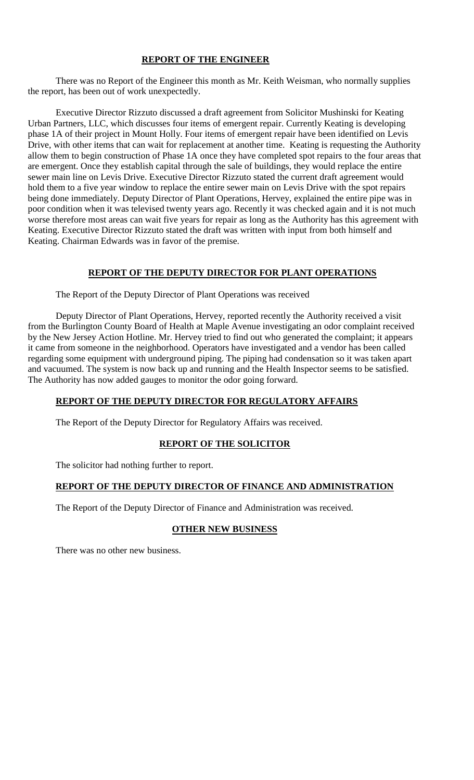# **REPORT OF THE ENGINEER**

There was no Report of the Engineer this month as Mr. Keith Weisman, who normally supplies the report, has been out of work unexpectedly.

Executive Director Rizzuto discussed a draft agreement from Solicitor Mushinski for Keating Urban Partners, LLC, which discusses four items of emergent repair. Currently Keating is developing phase 1A of their project in Mount Holly. Four items of emergent repair have been identified on Levis Drive, with other items that can wait for replacement at another time. Keating is requesting the Authority allow them to begin construction of Phase 1A once they have completed spot repairs to the four areas that are emergent. Once they establish capital through the sale of buildings, they would replace the entire sewer main line on Levis Drive. Executive Director Rizzuto stated the current draft agreement would hold them to a five year window to replace the entire sewer main on Levis Drive with the spot repairs being done immediately. Deputy Director of Plant Operations, Hervey, explained the entire pipe was in poor condition when it was televised twenty years ago. Recently it was checked again and it is not much worse therefore most areas can wait five years for repair as long as the Authority has this agreement with Keating. Executive Director Rizzuto stated the draft was written with input from both himself and Keating. Chairman Edwards was in favor of the premise.

### **REPORT OF THE DEPUTY DIRECTOR FOR PLANT OPERATIONS**

The Report of the Deputy Director of Plant Operations was received

Deputy Director of Plant Operations, Hervey, reported recently the Authority received a visit from the Burlington County Board of Health at Maple Avenue investigating an odor complaint received by the New Jersey Action Hotline. Mr. Hervey tried to find out who generated the complaint; it appears it came from someone in the neighborhood. Operators have investigated and a vendor has been called regarding some equipment with underground piping. The piping had condensation so it was taken apart and vacuumed. The system is now back up and running and the Health Inspector seems to be satisfied. The Authority has now added gauges to monitor the odor going forward.

#### **REPORT OF THE DEPUTY DIRECTOR FOR REGULATORY AFFAIRS**

The Report of the Deputy Director for Regulatory Affairs was received.

### **REPORT OF THE SOLICITOR**

The solicitor had nothing further to report.

### **REPORT OF THE DEPUTY DIRECTOR OF FINANCE AND ADMINISTRATION**

The Report of the Deputy Director of Finance and Administration was received.

# **OTHER NEW BUSINESS**

There was no other new business.